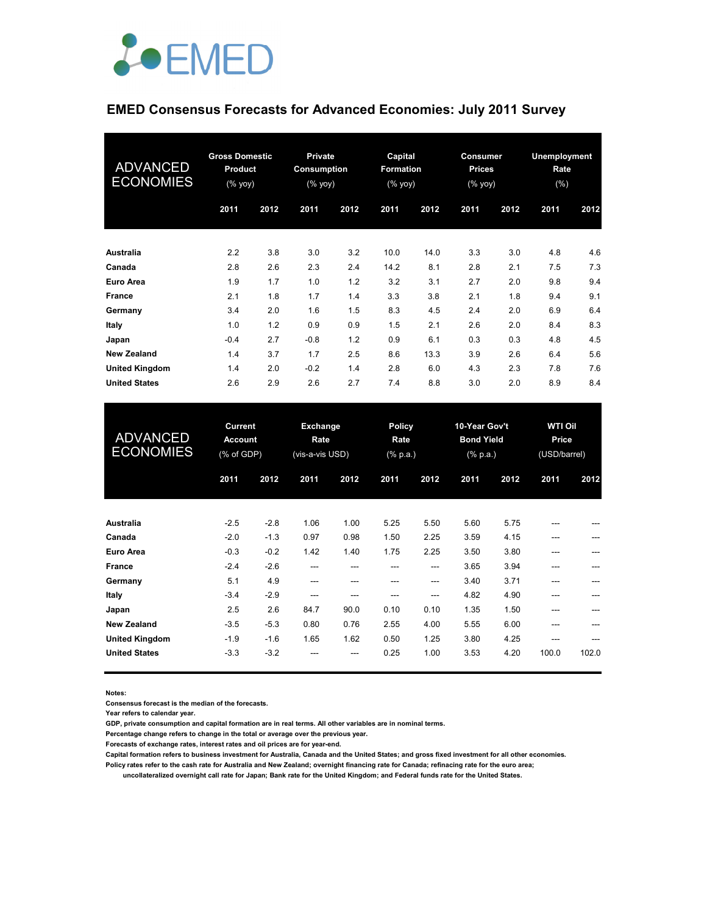

# **EMED Consensus Forecasts for Advanced Economies: July 2011 Survey**

| <b>ADVANCED</b><br><b>ECONOMIES</b> | <b>Gross Domestic</b><br>Product<br>$(%$ (% yoy) |      | Private<br>Consumption<br>$(%$ (% yoy) |      | Capital<br><b>Formation</b><br>$(% \mathsf{Y}^{\prime }\mathsf{Y}^{\prime }\mathsf{Y})$ (% $\mathsf{Y}^{\prime }\mathsf{Y})$ |      | Consumer<br><b>Prices</b><br>(% yoy) |      | Unemployment<br>Rate<br>(%) |      |
|-------------------------------------|--------------------------------------------------|------|----------------------------------------|------|------------------------------------------------------------------------------------------------------------------------------|------|--------------------------------------|------|-----------------------------|------|
|                                     | 2011                                             | 2012 | 2011                                   | 2012 | 2011                                                                                                                         | 2012 | 2011                                 | 2012 | 2011                        | 2012 |
| <b>Australia</b>                    | 2.2                                              | 3.8  | 3.0                                    | 3.2  | 10.0                                                                                                                         | 14.0 | 3.3                                  | 3.0  | 4.8                         | 4.6  |
| Canada                              | 2.8                                              | 2.6  | 2.3                                    | 2.4  | 14.2                                                                                                                         | 8.1  | 2.8                                  | 2.1  | 7.5                         | 7.3  |
| Euro Area                           | 1.9                                              | 1.7  | 1.0                                    | 1.2  | 3.2                                                                                                                          | 3.1  | 2.7                                  | 2.0  | 9.8                         | 9.4  |
| <b>France</b>                       | 2.1                                              | 1.8  | 1.7                                    | 1.4  | 3.3                                                                                                                          | 3.8  | 2.1                                  | 1.8  | 9.4                         | 9.1  |
| Germany                             | 3.4                                              | 2.0  | 1.6                                    | 1.5  | 8.3                                                                                                                          | 4.5  | 2.4                                  | 2.0  | 6.9                         | 6.4  |
| Italy                               | 1.0                                              | 1.2  | 0.9                                    | 0.9  | 1.5                                                                                                                          | 2.1  | 2.6                                  | 2.0  | 8.4                         | 8.3  |
| Japan                               | $-0.4$                                           | 2.7  | $-0.8$                                 | 1.2  | 0.9                                                                                                                          | 6.1  | 0.3                                  | 0.3  | 4.8                         | 4.5  |
| <b>New Zealand</b>                  | 1.4                                              | 3.7  | 1.7                                    | 2.5  | 8.6                                                                                                                          | 13.3 | 3.9                                  | 2.6  | 6.4                         | 5.6  |
| <b>United Kingdom</b>               | 1.4                                              | 2.0  | $-0.2$                                 | 1.4  | 2.8                                                                                                                          | 6.0  | 4.3                                  | 2.3  | 7.8                         | 7.6  |
| <b>United States</b>                | 2.6                                              | 2.9  | 2.6                                    | 2.7  | 7.4                                                                                                                          | 8.8  | 3.0                                  | 2.0  | 8.9                         | 8.4  |

| <b>ADVANCED</b><br><b>ECONOMIES</b> | <b>Current</b><br><b>Account</b><br>(% of GDP) |        | Exchange<br>Rate<br>(vis-a-vis USD) |      | <b>Policy</b><br>Rate<br>$(% \mathbb{R}^2)$ (% p.a.) |       | 10-Year Gov't<br><b>Bond Yield</b><br>(% p.a.) |      | <b>WTI Oil</b><br>Price<br>(USD/barrel) |       |
|-------------------------------------|------------------------------------------------|--------|-------------------------------------|------|------------------------------------------------------|-------|------------------------------------------------|------|-----------------------------------------|-------|
|                                     | 2011                                           | 2012   | 2011                                | 2012 | 2011                                                 | 2012  | 2011                                           | 2012 | 2011                                    | 2012  |
| Australia                           | $-2.5$                                         | $-2.8$ | 1.06                                | 1.00 | 5.25                                                 | 5.50  | 5.60                                           | 5.75 | ---                                     |       |
| Canada                              | $-2.0$                                         | $-1.3$ | 0.97                                | 0.98 | 1.50                                                 | 2.25  | 3.59                                           | 4.15 |                                         |       |
| Euro Area                           | $-0.3$                                         | $-0.2$ | 1.42                                | 1.40 | 1.75                                                 | 2.25  | 3.50                                           | 3.80 |                                         |       |
| France                              | $-2.4$                                         | $-2.6$ | ---                                 | ---  | ---                                                  | $---$ | 3.65                                           | 3.94 | ---                                     | ---   |
| Germany                             | 5.1                                            | 4.9    | ---                                 | ---  | ---                                                  | $---$ | 3.40                                           | 3.71 | ---                                     |       |
| Italy                               | $-3.4$                                         | $-2.9$ | ---                                 | ---  | ---                                                  | ---   | 4.82                                           | 4.90 | ---                                     |       |
| Japan                               | 2.5                                            | 2.6    | 84.7                                | 90.0 | 0.10                                                 | 0.10  | 1.35                                           | 1.50 | $- - -$                                 |       |
| <b>New Zealand</b>                  | $-3.5$                                         | $-5.3$ | 0.80                                | 0.76 | 2.55                                                 | 4.00  | 5.55                                           | 6.00 | ---                                     |       |
| <b>United Kingdom</b>               | $-1.9$                                         | $-1.6$ | 1.65                                | 1.62 | 0.50                                                 | 1.25  | 3.80                                           | 4.25 | ---                                     |       |
| <b>United States</b>                | $-3.3$                                         | $-3.2$ |                                     | ---  | 0.25                                                 | 1.00  | 3.53                                           | 4.20 | 100.0                                   | 102.0 |
|                                     |                                                |        |                                     |      |                                                      |       |                                                |      |                                         |       |

**Notes:** 

**Consensus forecast is the median of the forecasts.**

**Year refers to calendar year.**

**GDP, private consumption and capital formation are in real terms. All other variables are in nominal terms.**

**Percentage change refers to change in the total or average over the previous year.**

**Forecasts of exchange rates, interest rates and oil prices are for year-end.**

**Capital formation refers to business investment for Australia, Canada and the United States; and gross fixed investment for all other economies.**

**Policy rates refer to the cash rate for Australia and New Zealand; overnight financing rate for Canada; refinacing rate for the euro area; uncollateralized overnight call rate for Japan; Bank rate for the United Kingdom; and Federal funds rate for the United States.**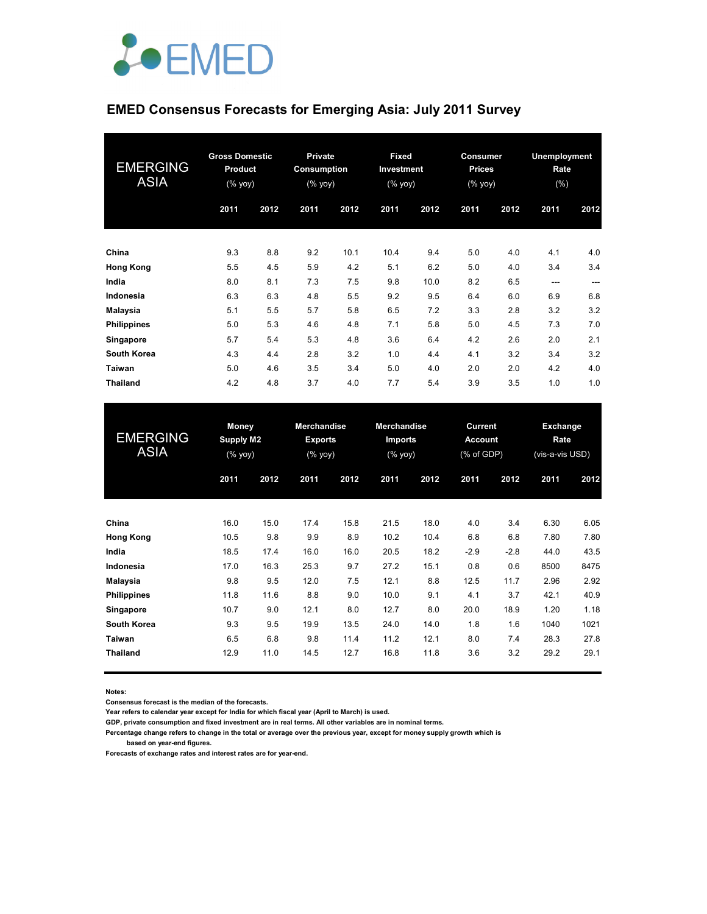

# **EMED Consensus Forecasts for Emerging Asia: July 2011 Survey**

| <b>EMERGING</b><br><b>ASIA</b> | <b>Gross Domestic</b><br>Product<br>$(%$ (% yoy) |      | <b>Private</b><br><b>Consumption</b><br>$(%$ (% yoy) |      | <b>Fixed</b><br>Investment<br>(% yoy) |      | Consumer<br><b>Prices</b><br>$(%$ (% yoy) |      | Unemployment<br>Rate<br>(%) |      |
|--------------------------------|--------------------------------------------------|------|------------------------------------------------------|------|---------------------------------------|------|-------------------------------------------|------|-----------------------------|------|
|                                | 2011                                             | 2012 | 2011                                                 | 2012 | 2011                                  | 2012 | 2011                                      | 2012 | 2011                        | 2012 |
| China                          | 9.3                                              | 8.8  | 9.2                                                  | 10.1 | 10.4                                  | 9.4  | 5.0                                       | 4.0  | 4.1                         | 4.0  |
| <b>Hong Kong</b>               | 5.5                                              | 4.5  | 5.9                                                  | 4.2  | 5.1                                   | 6.2  | 5.0                                       | 4.0  | 3.4                         | 3.4  |
| India                          | 8.0                                              | 8.1  | 7.3                                                  | 7.5  | 9.8                                   | 10.0 | 8.2                                       | 6.5  | $- - -$                     | ---  |
| Indonesia                      | 6.3                                              | 6.3  | 4.8                                                  | 5.5  | 9.2                                   | 9.5  | 6.4                                       | 6.0  | 6.9                         | 6.8  |
| Malaysia                       | 5.1                                              | 5.5  | 5.7                                                  | 5.8  | 6.5                                   | 7.2  | 3.3                                       | 2.8  | 3.2                         | 3.2  |
| <b>Philippines</b>             | 5.0                                              | 5.3  | 4.6                                                  | 4.8  | 7.1                                   | 5.8  | 5.0                                       | 4.5  | 7.3                         | 7.0  |
| Singapore                      | 5.7                                              | 5.4  | 5.3                                                  | 4.8  | 3.6                                   | 6.4  | 4.2                                       | 2.6  | 2.0                         | 2.1  |
| <b>South Korea</b>             | 4.3                                              | 4.4  | 2.8                                                  | 3.2  | 1.0                                   | 4.4  | 4.1                                       | 3.2  | 3.4                         | 3.2  |
| Taiwan                         | 5.0                                              | 4.6  | 3.5                                                  | 3.4  | 5.0                                   | 4.0  | 2.0                                       | 2.0  | 4.2                         | 4.0  |
| <b>Thailand</b>                | 4.2                                              | 4.8  | 3.7                                                  | 4.0  | 7.7                                   | 5.4  | 3.9                                       | 3.5  | 1.0                         | 1.0  |

| <b>EMERGING</b><br><b>ASIA</b> | <b>Money</b><br><b>Supply M2</b><br>$(% \mathsf{Y}\cup \mathsf{Y})$ (% $\mathsf{Y}\cup \mathsf{Y}$ ) |      | <b>Merchandise</b><br><b>Exports</b><br>$(%$ (% yoy) |      | <b>Merchandise</b><br>Imports<br>$(%$ (% yoy) |      | Current<br><b>Account</b><br>(% of GDP) |        | <b>Exchange</b><br>Rate<br>(vis-a-vis USD) |      |
|--------------------------------|------------------------------------------------------------------------------------------------------|------|------------------------------------------------------|------|-----------------------------------------------|------|-----------------------------------------|--------|--------------------------------------------|------|
|                                | 2011                                                                                                 | 2012 | 2011                                                 | 2012 | 2011                                          | 2012 | 2011                                    | 2012   | 2011                                       | 2012 |
| China                          | 16.0                                                                                                 | 15.0 | 17.4                                                 | 15.8 | 21.5                                          | 18.0 | 4.0                                     | 3.4    | 6.30                                       | 6.05 |
| <b>Hong Kong</b>               | 10.5                                                                                                 | 9.8  | 9.9                                                  | 8.9  | 10.2                                          | 10.4 | 6.8                                     | 6.8    | 7.80                                       | 7.80 |
| India                          | 18.5                                                                                                 | 17.4 | 16.0                                                 | 16.0 | 20.5                                          | 18.2 | $-2.9$                                  | $-2.8$ | 44.0                                       | 43.5 |
| Indonesia                      | 17.0                                                                                                 | 16.3 | 25.3                                                 | 9.7  | 27.2                                          | 15.1 | 0.8                                     | 0.6    | 8500                                       | 8475 |
| Malaysia                       | 9.8                                                                                                  | 9.5  | 12.0                                                 | 7.5  | 12.1                                          | 8.8  | 12.5                                    | 11.7   | 2.96                                       | 2.92 |
| <b>Philippines</b>             | 11.8                                                                                                 | 11.6 | 8.8                                                  | 9.0  | 10.0                                          | 9.1  | 4.1                                     | 3.7    | 42.1                                       | 40.9 |
| Singapore                      | 10.7                                                                                                 | 9.0  | 12.1                                                 | 8.0  | 12.7                                          | 8.0  | 20.0                                    | 18.9   | 1.20                                       | 1.18 |
| <b>South Korea</b>             | 9.3                                                                                                  | 9.5  | 19.9                                                 | 13.5 | 24.0                                          | 14.0 | 1.8                                     | 1.6    | 1040                                       | 1021 |
| Taiwan                         | 6.5                                                                                                  | 6.8  | 9.8                                                  | 11.4 | 11.2                                          | 12.1 | 8.0                                     | 7.4    | 28.3                                       | 27.8 |
| <b>Thailand</b>                | 12.9                                                                                                 | 11.0 | 14.5                                                 | 12.7 | 16.8                                          | 11.8 | 3.6                                     | 3.2    | 29.2                                       | 29.1 |

**Notes:** 

**Consensus forecast is the median of the forecasts.**

**Year refers to calendar year except for India for which fiscal year (April to March) is used.**

**GDP, private consumption and fixed investment are in real terms. All other variables are in nominal terms.**

**Percentage change refers to change in the total or average over the previous year, except for money supply growth which is based on year-end figures.**

**Forecasts of exchange rates and interest rates are for year-end.**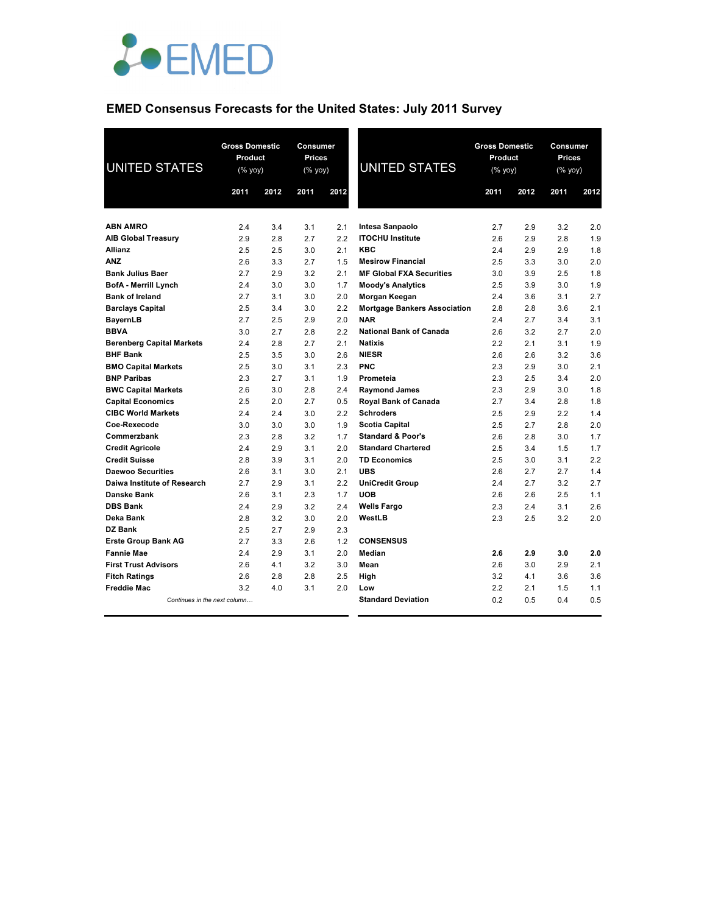

# **EMED Consensus Forecasts for the United States: July 2011 Survey**

| <b>UNITED STATES</b>             | <b>Gross Domestic</b><br>Product<br>(% yoy) |      | <b>Consumer</b><br><b>Prices</b><br>(% yoy) |      | <b>UNITED STATES</b>                | <b>Gross Domestic</b><br>Product<br>(% |      | Consumer<br><b>Prices</b><br>(% yoy) |      |
|----------------------------------|---------------------------------------------|------|---------------------------------------------|------|-------------------------------------|----------------------------------------|------|--------------------------------------|------|
|                                  | 2011                                        | 2012 | 2011                                        | 2012 |                                     | 2011                                   | 2012 | 2011                                 | 2012 |
|                                  |                                             |      |                                             |      |                                     |                                        |      |                                      |      |
| <b>ABN AMRO</b>                  | 2.4                                         | 3.4  | 3.1                                         | 2.1  | Intesa Sanpaolo                     | 2.7                                    | 2.9  | 3.2                                  | 2.0  |
| <b>AIB Global Treasury</b>       | 2.9                                         | 2.8  | 2.7                                         | 2.2  | <b>ITOCHU Institute</b>             | 2.6                                    | 2.9  | 2.8                                  | 1.9  |
| <b>Allianz</b>                   | 2.5                                         | 2.5  | 3.0                                         | 2.1  | <b>KBC</b>                          | 2.4                                    | 2.9  | 2.9                                  | 1.8  |
| <b>ANZ</b>                       | 2.6                                         | 3.3  | 2.7                                         | 1.5  | <b>Mesirow Financial</b>            | 2.5                                    | 3.3  | 3.0                                  | 2.0  |
| <b>Bank Julius Baer</b>          | 2.7                                         | 2.9  | 3.2                                         | 2.1  | <b>MF Global FXA Securities</b>     | 3.0                                    | 3.9  | 2.5                                  | 1.8  |
| <b>BofA - Merrill Lynch</b>      | 2.4                                         | 3.0  | 3.0                                         | 1.7  | <b>Moody's Analytics</b>            | 2.5                                    | 3.9  | 3.0                                  | 1.9  |
| <b>Bank of Ireland</b>           | 2.7                                         | 3.1  | 3.0                                         | 2.0  | Morgan Keegan                       | 2.4                                    | 3.6  | 3.1                                  | 2.7  |
| <b>Barclays Capital</b>          | 2.5                                         | 3.4  | 3.0                                         | 2.2  | <b>Mortgage Bankers Association</b> | 2.8                                    | 2.8  | 3.6                                  | 2.1  |
| <b>BayernLB</b>                  | 2.7                                         | 2.5  | 2.9                                         | 2.0  | <b>NAR</b>                          | 2.4                                    | 2.7  | 3.4                                  | 3.1  |
| <b>BBVA</b>                      | 3.0                                         | 2.7  | 2.8                                         | 2.2  | <b>National Bank of Canada</b>      | 2.6                                    | 3.2  | 2.7                                  | 2.0  |
| <b>Berenberg Capital Markets</b> | 2.4                                         | 2.8  | 2.7                                         | 2.1  | <b>Natixis</b>                      | 2.2                                    | 2.1  | 3.1                                  | 1.9  |
| <b>BHF Bank</b>                  | 2.5                                         | 3.5  | 3.0                                         | 2.6  | <b>NIESR</b>                        | 2.6                                    | 2.6  | 3.2                                  | 3.6  |
| <b>BMO Capital Markets</b>       | 2.5                                         | 3.0  | 3.1                                         | 2.3  | <b>PNC</b>                          | 2.3                                    | 2.9  | 3.0                                  | 2.1  |
| <b>BNP Paribas</b>               | 2.3                                         | 2.7  | 3.1                                         | 1.9  | Prometeia                           | 2.3                                    | 2.5  | 3.4                                  | 2.0  |
| <b>BWC Capital Markets</b>       | 2.6                                         | 3.0  | 2.8                                         | 2.4  | <b>Raymond James</b>                | 2.3                                    | 2.9  | 3.0                                  | 1.8  |
| <b>Capital Economics</b>         | 2.5                                         | 2.0  | 2.7                                         | 0.5  | Royal Bank of Canada                | 2.7                                    | 3.4  | 2.8                                  | 1.8  |
| <b>CIBC World Markets</b>        | 2.4                                         | 2.4  | 3.0                                         | 2.2  | <b>Schroders</b>                    | 2.5                                    | 2.9  | 2.2                                  | 1.4  |
| Coe-Rexecode                     | 3.0                                         | 3.0  | 3.0                                         | 1.9  | <b>Scotia Capital</b>               | 2.5                                    | 2.7  | 2.8                                  | 2.0  |
| Commerzbank                      | 2.3                                         | 2.8  | 3.2                                         | 1.7  | <b>Standard &amp; Poor's</b>        | 2.6                                    | 2.8  | 3.0                                  | 1.7  |
| <b>Credit Agricole</b>           | 2.4                                         | 2.9  | 3.1                                         | 2.0  | <b>Standard Chartered</b>           | 2.5                                    | 3.4  | 1.5                                  | 1.7  |
| <b>Credit Suisse</b>             | 2.8                                         | 3.9  | 3.1                                         | 2.0  | <b>TD Economics</b>                 | 2.5                                    | 3.0  | 3.1                                  | 2.2  |
| <b>Daewoo Securities</b>         | 2.6                                         | 3.1  | 3.0                                         | 2.1  | <b>UBS</b>                          | 2.6                                    | 2.7  | 2.7                                  | 1.4  |
| Daiwa Institute of Research      | 2.7                                         | 2.9  | 3.1                                         | 2.2  | <b>UniCredit Group</b>              | 2.4                                    | 2.7  | 3.2                                  | 2.7  |
| Danske Bank                      | 2.6                                         | 3.1  | 2.3                                         | 1.7  | <b>UOB</b>                          | 2.6                                    | 2.6  | 2.5                                  | 1.1  |
| <b>DBS Bank</b>                  | 2.4                                         | 2.9  | 3.2                                         | 2.4  | <b>Wells Fargo</b>                  | 2.3                                    | 2.4  | 3.1                                  | 2.6  |
| Deka Bank                        | 2.8                                         | 3.2  | 3.0                                         | 2.0  | WestLB                              | 2.3                                    | 2.5  | 3.2                                  | 2.0  |
| DZ Bank                          | 2.5                                         | 2.7  | 2.9                                         | 2.3  |                                     |                                        |      |                                      |      |
| <b>Erste Group Bank AG</b>       | 2.7                                         | 3.3  | 2.6                                         | 1.2  | <b>CONSENSUS</b>                    |                                        |      |                                      |      |
| <b>Fannie Mae</b>                | 2.4                                         | 2.9  | 3.1                                         | 2.0  | Median                              | 2.6                                    | 2.9  | 3.0                                  | 2.0  |
| <b>First Trust Advisors</b>      | 2.6                                         | 4.1  | 3.2                                         | 3.0  | Mean                                | 2.6                                    | 3.0  | 2.9                                  | 2.1  |
| <b>Fitch Ratings</b>             | 2.6                                         | 2.8  | 2.8                                         | 2.5  | High                                | 3.2                                    | 4.1  | 3.6                                  | 3.6  |
| <b>Freddie Mac</b>               | 3.2                                         | 4.0  | 3.1                                         | 2.0  | Low                                 | 2.2                                    | 2.1  | 1.5                                  | 1.1  |
| Continues in the next column     |                                             |      |                                             |      | <b>Standard Deviation</b>           | 0.2                                    | 0.5  | 0.4                                  | 0.5  |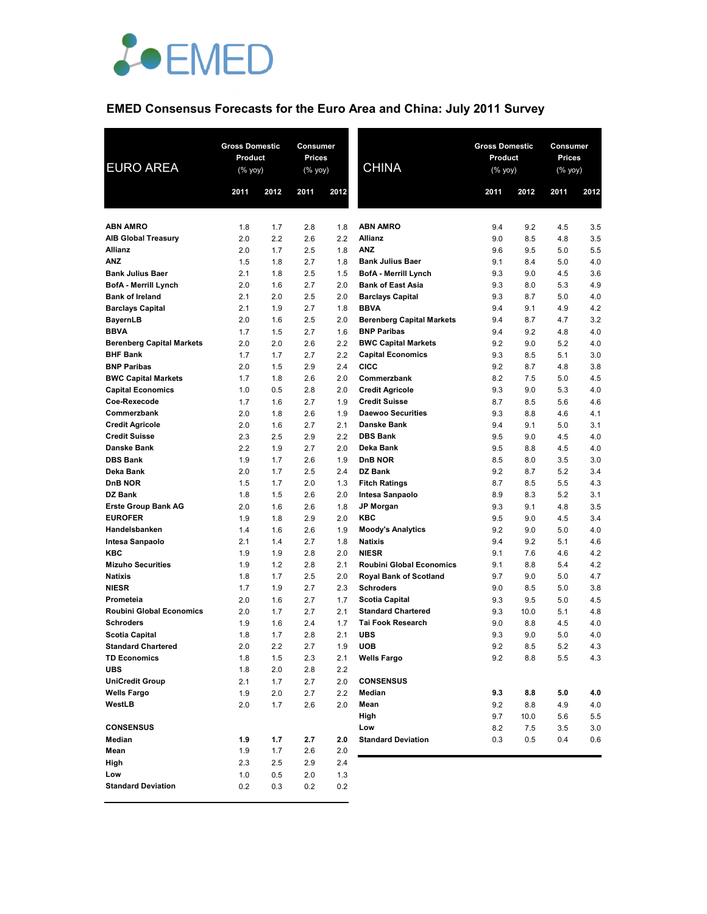

# **EMED Consensus Forecasts for the Euro Area and China: July 2011 Survey**

| <b>EURO AREA</b>                             | <b>Gross Domestic</b><br>Product<br>$(%$ (% yoy) |            | Consumer<br>Prices<br>(% yoy) |            | <b>CHINA</b>                                     | <b>Gross Domestic</b><br><b>Product</b><br>(% yoy) |            | Consumer<br>Prices<br>(% yoy) |            |
|----------------------------------------------|--------------------------------------------------|------------|-------------------------------|------------|--------------------------------------------------|----------------------------------------------------|------------|-------------------------------|------------|
|                                              | 2011                                             | 2012       | 2011                          | 2012       |                                                  | 2011                                               | 2012       | 2011                          | 2012       |
| <b>ABN AMRO</b>                              | 1.8                                              | 1.7        | 2.8                           | 1.8        | <b>ABN AMRO</b>                                  | 9.4                                                | 9.2        | 4.5                           | 3.5        |
| <b>AIB Global Treasury</b>                   | 2.0                                              | 2.2        | 2.6                           | 2.2        | <b>Allianz</b>                                   | 9.0                                                | 8.5        | 4.8                           | 3.5        |
| <b>Allianz</b>                               | 2.0                                              | 1.7        | 2.5                           | 1.8        | <b>ANZ</b>                                       | 9.6                                                | 9.5        | 5.0                           | 5.5        |
| <b>ANZ</b>                                   | 1.5                                              | 1.8        | 2.7                           | 1.8        | <b>Bank Julius Baer</b>                          | 9.1                                                | 8.4        | 5.0                           | 4.0        |
| <b>Bank Julius Baer</b>                      | 2.1                                              | 1.8        | 2.5                           | 1.5        | <b>BofA</b> - Merrill Lynch                      | 9.3                                                | 9.0        | 4.5                           | 3.6        |
| <b>BofA - Merrill Lynch</b>                  | 2.0                                              | 1.6        | 2.7                           | 2.0        | <b>Bank of East Asia</b>                         | 9.3                                                | 8.0        | 5.3                           | 4.9        |
| <b>Bank of Ireland</b>                       | 2.1                                              | 2.0        | 2.5                           | 2.0        | <b>Barclays Capital</b>                          | 9.3                                                | 8.7        | 5.0                           | 4.0        |
| <b>Barclays Capital</b>                      | 2.1                                              | 1.9        | 2.7                           | 1.8        | <b>BBVA</b>                                      | 9.4                                                | 9.1        | 4.9                           | 4.2        |
| <b>BayernLB</b>                              | 2.0                                              | 1.6        | 2.5                           | 2.0        | <b>Berenberg Capital Markets</b>                 | 9.4                                                | 8.7        | 4.7                           | 3.2        |
| <b>BBVA</b>                                  | 1.7                                              | 1.5        | 2.7                           | 1.6        | <b>BNP Paribas</b>                               | 9.4                                                | 9.2        | 4.8                           | 4.0        |
| <b>Berenberg Capital Markets</b>             | 2.0                                              | 2.0        | 2.6                           | 2.2        | <b>BWC Capital Markets</b>                       | 9.2                                                | 9.0        | 5.2                           | 4.0        |
| <b>BHF Bank</b>                              | 1.7                                              | 1.7        | 2.7                           | 2.2        | <b>Capital Economics</b>                         | 9.3                                                | 8.5        | 5.1                           | 3.0        |
| <b>BNP Paribas</b>                           | 2.0                                              | 1.5        | 2.9                           | 2.4        | <b>CICC</b>                                      | 9.2                                                | 8.7        | 4.8                           | 3.8        |
| <b>BWC Capital Markets</b>                   | 1.7                                              | 1.8        | 2.6                           | 2.0        | Commerzbank                                      | 8.2                                                | 7.5        | 5.0                           | 4.5        |
| <b>Capital Economics</b>                     | 1.0                                              | 0.5        | 2.8                           | 2.0        | <b>Credit Agricole</b>                           | 9.3                                                | 9.0        | 5.3                           | 4.0        |
| Coe-Rexecode<br>Commerzbank                  | 1.7<br>2.0                                       | 1.6        | 2.7<br>2.6                    | 1.9<br>1.9 | <b>Credit Suisse</b><br><b>Daewoo Securities</b> | 8.7<br>9.3                                         | 8.5<br>8.8 | 5.6<br>4.6                    | 4.6<br>4.1 |
| <b>Credit Agricole</b>                       | 2.0                                              | 1.8<br>1.6 | 2.7                           | 2.1        | <b>Danske Bank</b>                               | 9.4                                                | 9.1        | 5.0                           | 3.1        |
| <b>Credit Suisse</b>                         | 2.3                                              | 2.5        | 2.9                           | 2.2        | <b>DBS Bank</b>                                  | 9.5                                                | 9.0        | 4.5                           | 4.0        |
| Danske Bank                                  | 2.2                                              | 1.9        | 2.7                           | 2.0        | Deka Bank                                        | 9.5                                                | 8.8        | 4.5                           | 4.0        |
| <b>DBS Bank</b>                              | 1.9                                              | 1.7        | 2.6                           | 1.9        | DnB NOR                                          | 8.5                                                | 8.0        | 3.5                           | 3.0        |
| Deka Bank                                    | 2.0                                              | 1.7        | 2.5                           | 2.4        | DZ Bank                                          | 9.2                                                | 8.7        | 5.2                           | 3.4        |
| DnB NOR                                      | 1.5                                              | 1.7        | 2.0                           | 1.3        | <b>Fitch Ratings</b>                             | 8.7                                                | 8.5        | 5.5                           | 4.3        |
| DZ Bank                                      | 1.8                                              | 1.5        | 2.6                           | 2.0        | Intesa Sanpaolo                                  | 8.9                                                | 8.3        | 5.2                           | 3.1        |
| <b>Erste Group Bank AG</b>                   | 2.0                                              | 1.6        | 2.6                           | 1.8        | <b>JP Morgan</b>                                 | 9.3                                                | 9.1        | 4.8                           | 3.5        |
| <b>EUROFER</b>                               | 1.9                                              | 1.8        | 2.9                           | 2.0        | <b>KBC</b>                                       | 9.5                                                | 9.0        | 4.5                           | 3.4        |
| Handelsbanken                                | 1.4                                              | 1.6        | 2.6                           | 1.9        | <b>Moody's Analytics</b>                         | 9.2                                                | 9.0        | 5.0                           | 4.0        |
| Intesa Sanpaolo                              | 2.1                                              | 1.4        | 2.7                           | 1.8        | <b>Natixis</b>                                   | 9.4                                                | 9.2        | 5.1                           | 4.6        |
| <b>KBC</b>                                   | 1.9                                              | 1.9        | 2.8                           | 2.0        | <b>NIESR</b>                                     | 9.1                                                | 7.6        | 4.6                           | 4.2        |
| <b>Mizuho Securities</b>                     | 1.9                                              | 1.2        | 2.8                           | 2.1        | <b>Roubini Global Economics</b>                  | 9.1                                                | 8.8        | 5.4                           | 4.2        |
| <b>Natixis</b>                               | 1.8                                              | 1.7        | 2.5                           | 2.0        | <b>Royal Bank of Scotland</b>                    | 9.7                                                | 9.0        | 5.0                           | 4.7        |
| <b>NIESR</b>                                 | 1.7                                              | 1.9        | 2.7                           | 2.3        | <b>Schroders</b>                                 | 9.0                                                | 8.5        | 5.0                           | 3.8        |
| Prometeia                                    | 2.0                                              | 1.6        | 2.7                           | 1.7        | <b>Scotia Capital</b>                            | 9.3                                                | 9.5        | 5.0                           | 4.5        |
| <b>Roubini Global Economics</b>              | 2.0                                              | 1.7        | 2.7                           | 2.1        | <b>Standard Chartered</b>                        | 9.3                                                | 10.0       | 5.1                           | 4.8        |
| <b>Schroders</b>                             | 1.9                                              | 1.6        | 2.4                           | 1.7        | <b>Tai Fook Research</b>                         | 9.0                                                | 8.8        | 4.5                           | 4.0        |
| <b>Scotia Capital</b>                        | 1.8                                              | 1.7        | 2.8                           | 2.1        | <b>UBS</b>                                       | 9.3                                                | 9.0        | 5.0                           | 4.0        |
| <b>Standard Chartered</b>                    | 2.0                                              | 2.2        | 2.7                           | 1.9        | <b>UOB</b>                                       | 9.2                                                | 8.5        | $5.2$                         | 4.3        |
| <b>TD Economics</b>                          | 1.8                                              | 1.5        | 2.3                           | 2.1        | <b>Wells Fargo</b>                               | 9.2                                                | 8.8        | 5.5                           | 4.3        |
| <b>UBS</b>                                   | 1.8                                              | 2.0        | 2.8                           | 2.2        | <b>CONSENSUS</b>                                 |                                                    |            |                               |            |
| <b>UniCredit Group</b><br><b>Wells Fargo</b> | 2.1<br>1.9                                       | 1.7<br>2.0 | 2.7<br>2.7                    | 2.0<br>2.2 | Median                                           | 9.3                                                |            |                               |            |
| WestLB                                       | 2.0                                              | 1.7        | 2.6                           | 2.0        | Mean                                             | 9.2                                                | 8.8<br>8.8 | 5.0<br>4.9                    | 4.0<br>4.0 |
|                                              |                                                  |            |                               |            | High                                             | 9.7                                                | 10.0       | 5.6                           | 5.5        |
| <b>CONSENSUS</b>                             |                                                  |            |                               |            | Low                                              | 8.2                                                | 7.5        | 3.5                           | 3.0        |
| Median                                       | 1.9                                              | 1.7        | 2.7                           | 2.0        | <b>Standard Deviation</b>                        | 0.3                                                | 0.5        | 0.4                           | 0.6        |
| Mean                                         | 1.9                                              | 1.7        | 2.6                           | 2.0        |                                                  |                                                    |            |                               |            |
| High                                         | 2.3                                              | 2.5        | 2.9                           | 2.4        |                                                  |                                                    |            |                               |            |
| Low                                          | 1.0                                              | 0.5        | 2.0                           | 1.3        |                                                  |                                                    |            |                               |            |
| <b>Standard Deviation</b>                    | 0.2                                              | 0.3        | 0.2                           | 0.2        |                                                  |                                                    |            |                               |            |